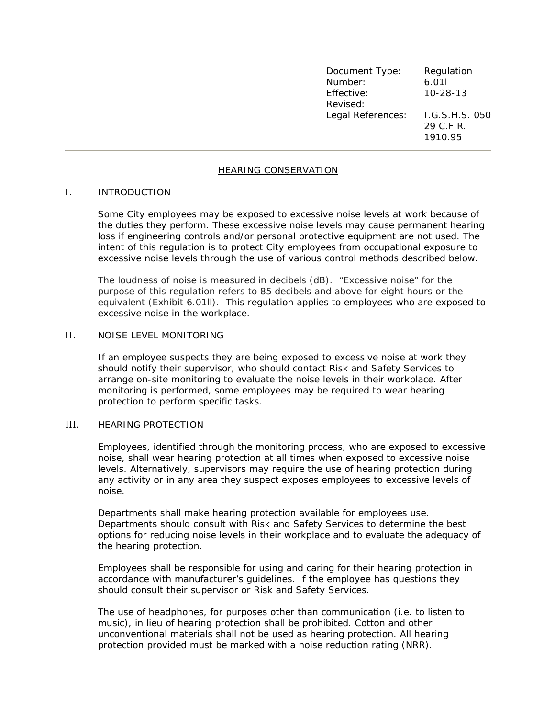| Document Type:    | Regulation     |
|-------------------|----------------|
| Number:           | 6.011          |
| Effective:        | $10 - 28 - 13$ |
| Revised:          |                |
| Legal References: | I.G.S.H.S. 050 |
|                   | 29 C.F.R.      |
|                   | 1910.95        |

# HEARING CONSERVATION

#### I. INTRODUCTION

Some City employees may be exposed to excessive noise levels at work because of the duties they perform. These excessive noise levels may cause permanent hearing loss if engineering controls and/or personal protective equipment are not used. The intent of this regulation is to protect City employees from occupational exposure to excessive noise levels through the use of various control methods described below.

The loudness of noise is measured in decibels (dB). "Excessive noise" for the purpose of this regulation refers to 85 decibels and above for eight hours or the equivalent (Exhibit 6.01ll). This regulation applies to employees who are exposed to excessive noise in the workplace.

## II. NOISE LEVEL MONITORING

If an employee suspects they are being exposed to excessive noise at work they should notify their supervisor, who should contact Risk and Safety Services to arrange on-site monitoring to evaluate the noise levels in their workplace. After monitoring is performed, some employees may be required to wear hearing protection to perform specific tasks.

### III. HEARING PROTECTION

Employees, identified through the monitoring process, who are exposed to excessive noise, shall wear hearing protection at all times when exposed to excessive noise levels. Alternatively, supervisors may require the use of hearing protection during any activity or in any area they suspect exposes employees to excessive levels of noise.

Departments shall make hearing protection available for employees use. Departments should consult with Risk and Safety Services to determine the best options for reducing noise levels in their workplace and to evaluate the adequacy of the hearing protection.

Employees shall be responsible for using and caring for their hearing protection in accordance with manufacturer's guidelines. If the employee has questions they should consult their supervisor or Risk and Safety Services.

The use of headphones, for purposes other than communication (i.e. to listen to music), in lieu of hearing protection shall be prohibited. Cotton and other unconventional materials shall not be used as hearing protection. All hearing protection provided must be marked with a noise reduction rating (NRR).